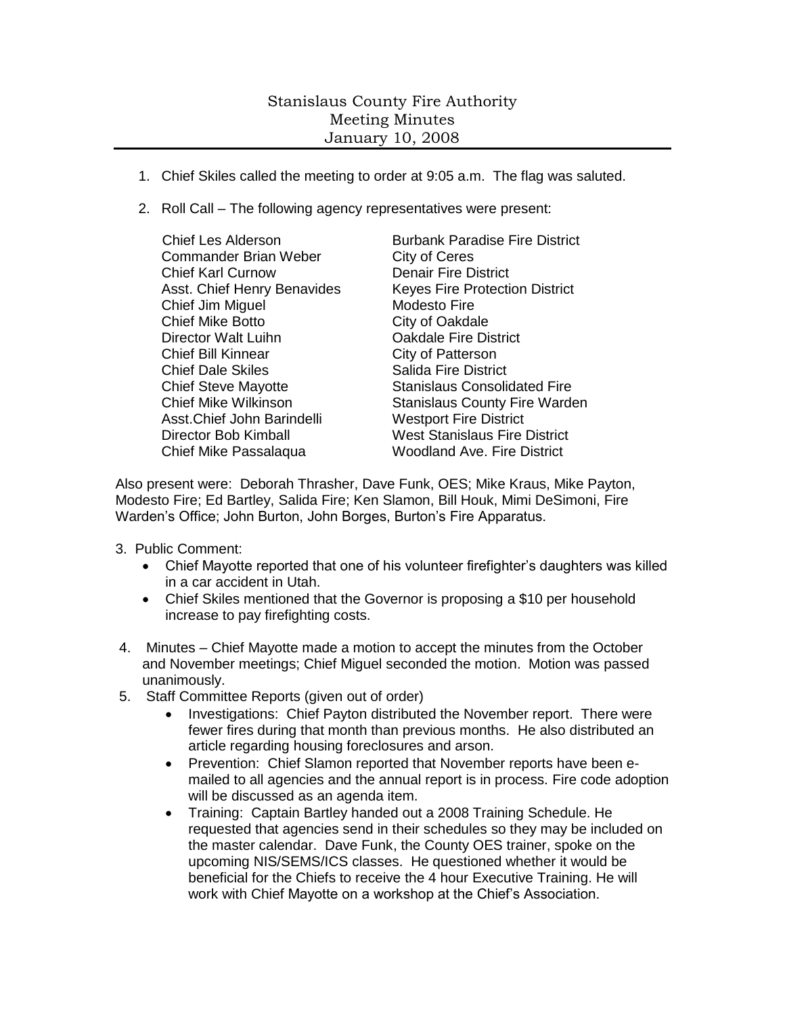## Stanislaus County Fire Authority Meeting Minutes January 10, 2008

- 1. Chief Skiles called the meeting to order at 9:05 a.m. The flag was saluted.
- 2. Roll Call The following agency representatives were present:
	- Commander Brian Weber City of Ceres Chief Karl Curnow Denair Fire District Chief Jim Miguel Modesto Fire Chief Mike Botto City of Oakdale Director Walt Luihn **Cakdale Fire District** Chief Bill Kinnear City of Patterson Chief Dale Skiles Salida Fire District Asst.Chief John Barindelli Westport Fire District Chief Mike Passalaqua Woodland Ave. Fire District

Chief Les Alderson **Burbank Paradise Fire District** Asst. Chief Henry Benavides Keyes Fire Protection District Chief Steve Mayotte Stanislaus Consolidated Fire Chief Mike Wilkinson Stanislaus County Fire Warden Director Bob Kimball West Stanislaus Fire District

Also present were: Deborah Thrasher, Dave Funk, OES; Mike Kraus, Mike Payton, Modesto Fire; Ed Bartley, Salida Fire; Ken Slamon, Bill Houk, Mimi DeSimoni, Fire Warden's Office; John Burton, John Borges, Burton's Fire Apparatus.

- 3. Public Comment:
	- Chief Mayotte reported that one of his volunteer firefighter's daughters was killed in a car accident in Utah.
	- Chief Skiles mentioned that the Governor is proposing a \$10 per household increase to pay firefighting costs.
- 4. Minutes Chief Mayotte made a motion to accept the minutes from the October and November meetings; Chief Miguel seconded the motion. Motion was passed unanimously.
- 5. Staff Committee Reports (given out of order)
	- Investigations: Chief Payton distributed the November report. There were fewer fires during that month than previous months. He also distributed an article regarding housing foreclosures and arson.
	- Prevention: Chief Slamon reported that November reports have been emailed to all agencies and the annual report is in process. Fire code adoption will be discussed as an agenda item.
	- Training: Captain Bartley handed out a 2008 Training Schedule. He requested that agencies send in their schedules so they may be included on the master calendar. Dave Funk, the County OES trainer, spoke on the upcoming NIS/SEMS/ICS classes. He questioned whether it would be beneficial for the Chiefs to receive the 4 hour Executive Training. He will work with Chief Mayotte on a workshop at the Chief's Association.